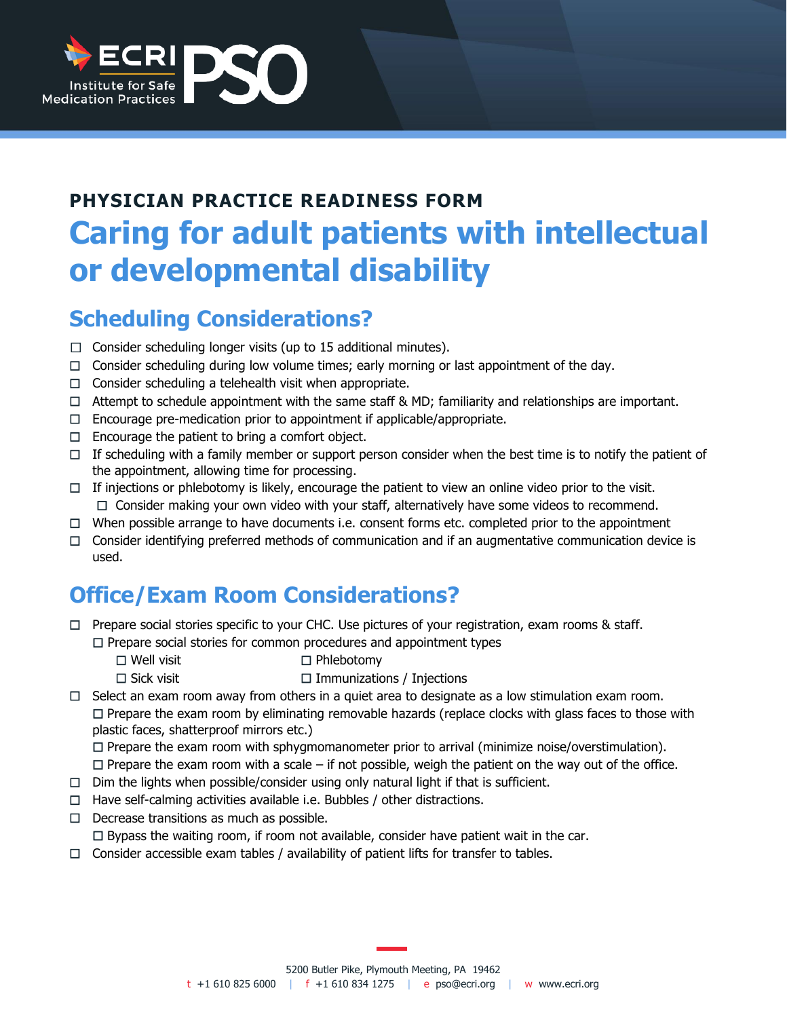

# **PHYSICIAN PRACTICE READINESS FORM Caring for adult patients with intellectual or developmental disability**

## **Scheduling Considerations?**

- $\Box$  Consider scheduling longer visits (up to 15 additional minutes).
- $\Box$  Consider scheduling during low volume times; early morning or last appointment of the day.
- $\Box$  Consider scheduling a telehealth visit when appropriate.
- $\Box$  Attempt to schedule appointment with the same staff & MD; familiarity and relationships are important.
- ☐ Encourage pre-medication prior to appointment if applicable/appropriate.
- $\Box$  Encourage the patient to bring a comfort object.
- $\Box$  If scheduling with a family member or support person consider when the best time is to notify the patient of the appointment, allowing time for processing.
- $\Box$  If injections or phlebotomy is likely, encourage the patient to view an online video prior to the visit. ☐ Consider making your own video with your staff, alternatively have some videos to recommend.
- ☐ When possible arrange to have documents i.e. consent forms etc. completed prior to the appointment
- $\Box$  Consider identifying preferred methods of communication and if an augmentative communication device is used.

## **Office/Exam Room Considerations?**

- ☐ Prepare social stories specific to your CHC. Use pictures of your registration, exam rooms & staff. ☐ Prepare social stories for common procedures and appointment types
	- ☐ Well visit ☐ Phlebotomy
	- ☐ Sick visit☐ Immunizations / Injections
- $\Box$  Select an exam room away from others in a quiet area to designate as a low stimulation exam room. ☐ Prepare the exam room by eliminating removable hazards (replace clocks with glass faces to those with plastic faces, shatterproof mirrors etc.)

☐ Prepare the exam room with sphygmomanometer prior to arrival (minimize noise/overstimulation).

- $\Box$  Prepare the exam room with a scale if not possible, weigh the patient on the way out of the office.
- $\Box$  Dim the lights when possible/consider using only natural light if that is sufficient.
- $\Box$  Have self-calming activities available i.e. Bubbles / other distractions.
- ☐ Decrease transitions as much as possible.

 $\Box$  Bypass the waiting room, if room not available, consider have patient wait in the car.

 $\Box$  Consider accessible exam tables / availability of patient lifts for transfer to tables.